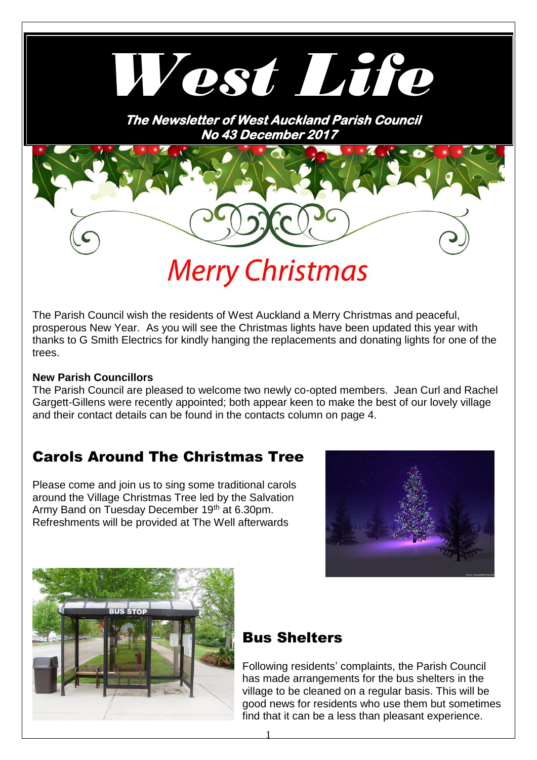

The Parish Council wish the residents of West Auckland a Merry Christmas and peaceful, prosperous New Year. As you will see the Christmas lights have been updated this year with thanks to G Smith Electrics for kindly hanging the replacements and donating lights for one of the trees.

#### **New Parish Councillors**

The Parish Council are pleased to welcome two newly co-opted members. Jean Curl and Rachel Gargett-Gillens were recently appointed; both appear keen to make the best of our lovely village and their contact details can be found in the contacts column on page 4.

### Carols Around The Christmas Tree

Please come and join us to sing some traditional carols around the Village Christmas Tree led by the Salvation Army Band on Tuesday December 19<sup>th</sup> at 6.30pm. Refreshments will be provided at The Well afterwards





### Bus Shelters

Following residents' complaints, the Parish Council has made arrangements for the bus shelters in the village to be cleaned on a regular basis. This will be good news for residents who use them but sometimes find that it can be a less than pleasant experience.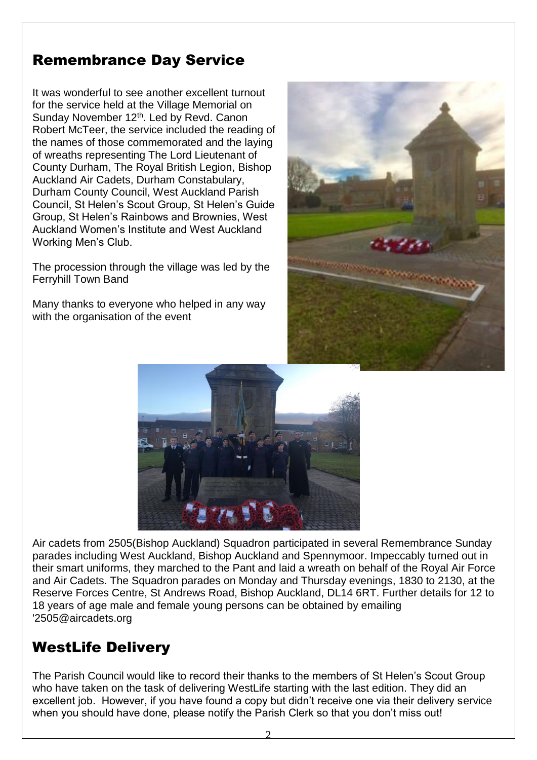## Remembrance Day Service

It was wonderful to see another excellent turnout for the service held at the Village Memorial on Sunday November 12<sup>th</sup>. Led by Revd. Canon Robert McTeer, the service included the reading of the names of those commemorated and the laying of wreaths representing The Lord Lieutenant of County Durham, The Royal British Legion, Bishop Auckland Air Cadets, Durham Constabulary, Durham County Council, West Auckland Parish Council, St Helen's Scout Group, St Helen's Guide Group, St Helen's Rainbows and Brownies, West Auckland Women's Institute and West Auckland Working Men's Club.

The procession through the village was led by the Ferryhill Town Band

Many thanks to everyone who helped in any way with the organisation of the event





Air cadets from 2505(Bishop Auckland) Squadron participated in several Remembrance Sunday parades including West Auckland, Bishop Auckland and Spennymoor. Impeccably turned out in their smart uniforms, they marched to the Pant and laid a wreath on behalf of the Royal Air Force and Air Cadets. The Squadron parades on Monday and Thursday evenings, 1830 to 2130, at the Reserve Forces Centre, St Andrews Road, Bishop Auckland, DL14 6RT. Further details for 12 to 18 years of age male and female young persons can be obtained by emailing '2505@aircadets.org

### WestLife Delivery

The Parish Council would like to record their thanks to the members of St Helen's Scout Group who have taken on the task of delivering WestLife starting with the last edition. They did an excellent job. However, if you have found a copy but didn't receive one via their delivery service when you should have done, please notify the Parish Clerk so that you don't miss out!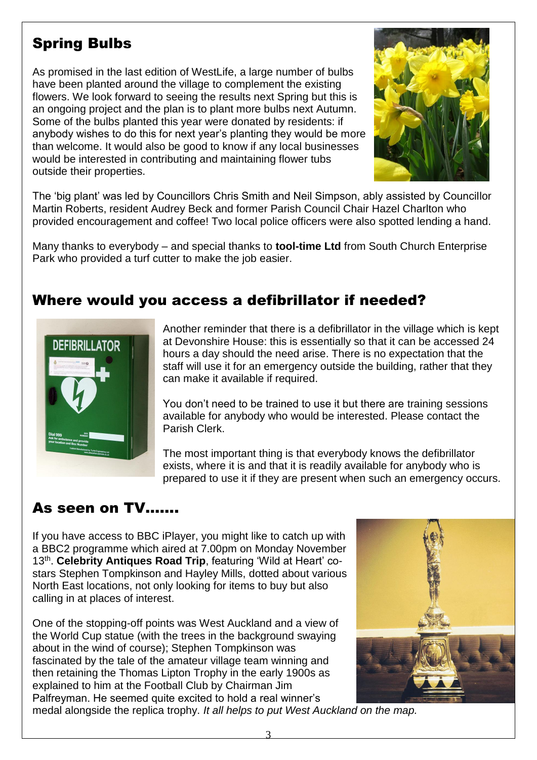# Spring Bulbs

As promised in the last edition of WestLife, a large number of bulbs have been planted around the village to complement the existing flowers. We look forward to seeing the results next Spring but this is an ongoing project and the plan is to plant more bulbs next Autumn. Some of the bulbs planted this year were donated by residents: if anybody wishes to do this for next year's planting they would be more than welcome. It would also be good to know if any local businesses would be interested in contributing and maintaining flower tubs outside their properties.



The 'big plant' was led by Councillors Chris Smith and Neil Simpson, ably assisted by Councillor Martin Roberts, resident Audrey Beck and former Parish Council Chair Hazel Charlton who provided encouragement and coffee! Two local police officers were also spotted lending a hand.

Many thanks to everybody – and special thanks to **tool-time Ltd** from South Church Enterprise Park who provided a turf cutter to make the job easier.

## Where would you access a defibrillator if needed?



Another reminder that there is a defibrillator in the village which is kept at Devonshire House: this is essentially so that it can be accessed 24 hours a day should the need arise. There is no expectation that the staff will use it for an emergency outside the building, rather that they can make it available if required.

You don't need to be trained to use it but there are training sessions available for anybody who would be interested. Please contact the Parish Clerk.

The most important thing is that everybody knows the defibrillator exists, where it is and that it is readily available for anybody who is prepared to use it if they are present when such an emergency occurs.

## As seen on TV…….

If you have access to BBC iPlayer, you might like to catch up with a BBC2 programme which aired at 7.00pm on Monday November 13<sup>th</sup>. Celebrity Antiques Road Trip, featuring 'Wild at Heart' costars Stephen Tompkinson and Hayley Mills, dotted about various North East locations, not only looking for items to buy but also calling in at places of interest.

One of the stopping-off points was West Auckland and a view of the World Cup statue (with the trees in the background swaying about in the wind of course); Stephen Tompkinson was fascinated by the tale of the amateur village team winning and then retaining the Thomas Lipton Trophy in the early 1900s as explained to him at the Football Club by Chairman Jim Palfreyman. He seemed quite excited to hold a real winner's



medal alongside the replica trophy. *It all helps to put West Auckland on the map.*